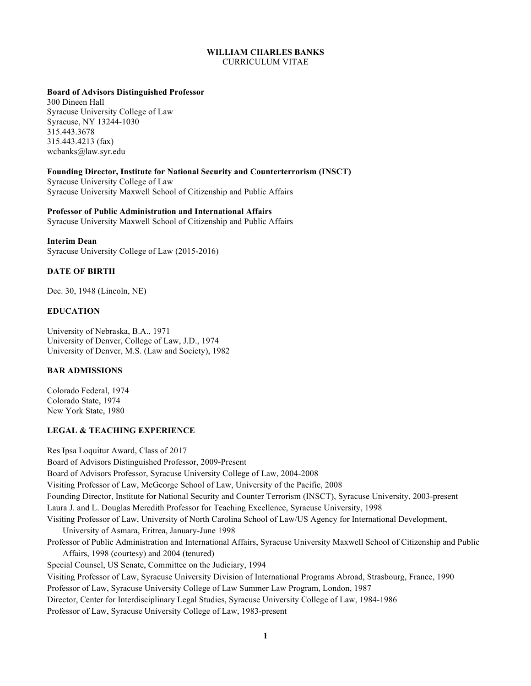# **WILLIAM CHARLES BANKS**  CURRICULUM VITAE

### **Board of Advisors Distinguished Professor**

 Syracuse University College of Law Syracuse, NY 13244-1030 315.443.4213 (fax) 300 Dineen Hall 315.443.3678 wcbanks@law.syr.edu

## **Founding Director, Institute for National Security and Counterterrorism (INSCT)**

 Syracuse University College of Law Syracuse University Maxwell School of Citizenship and Public Affairs

## **Professor of Public Administration and International Affairs**

Syracuse University Maxwell School of Citizenship and Public Affairs

### **Interim Dean**

Syracuse University College of Law (2015-2016)

## **DATE OF BIRTH**

Dec. 30, 1948 (Lincoln, NE)

## **EDUCATION**

 University of Nebraska, B.A., 1971 University of Denver, College of Law, J.D., 1974 University of Denver, M.S. (Law and Society), 1982

# **BAR ADMISSIONS**

 Colorado Federal, 1974 Colorado State, 1974 New York State, 1980

## **LEGAL & TEACHING EXPERIENCE**

 Res Ipsa Loquitur Award, Class of 2017 Board of Advisors Distinguished Professor, 2009-Present Board of Advisors Professor, Syracuse University College of Law, 2004-2008 Visiting Professor of Law, McGeorge School of Law, University of the Pacific, 2008 Founding Director, Institute for National Security and Counter Terrorism (INSCT), Syracuse University, 2003-present Laura J. and L. Douglas Meredith Professor for Teaching Excellence, Syracuse University, 1998 Visiting Professor of Law, University of North Carolina School of Law/US Agency for International Development, University of Asmara, Eritrea, January-June 1998 Professor of Public Administration and International Affairs, Syracuse University Maxwell School of Citizenship and Public Affairs, 1998 (courtesy) and 2004 (tenured) Special Counsel, US Senate, Committee on the Judiciary, 1994 Visiting Professor of Law, Syracuse University Division of International Programs Abroad, Strasbourg, France, 1990 Professor of Law, Syracuse University College of Law Summer Law Program, London, 1987 Director, Center for Interdisciplinary Legal Studies, Syracuse University College of Law, 1984-1986 Professor of Law, Syracuse University College of Law, 1983-present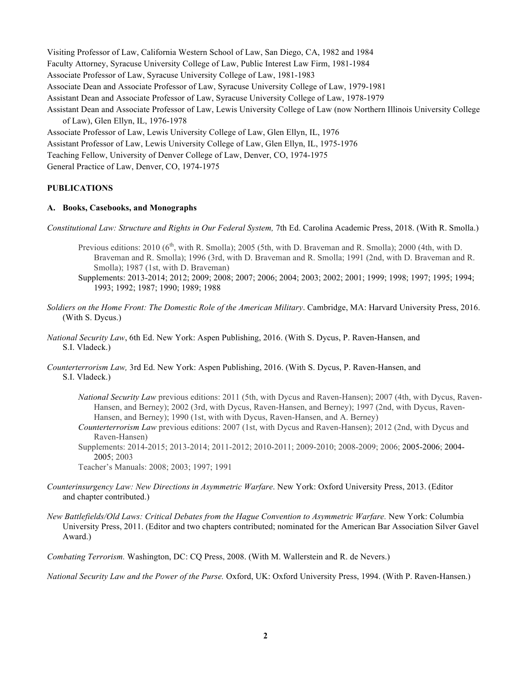Visiting Professor of Law, California Western School of Law, San Diego, CA, 1982 and 1984 Faculty Attorney, Syracuse University College of Law, Public Interest Law Firm, 1981-1984 Associate Professor of Law, Syracuse University College of Law, 1981-1983 Associate Dean and Associate Professor of Law, Syracuse University College of Law, 1979-1981 Assistant Dean and Associate Professor of Law, Syracuse University College of Law, 1978-1979 Assistant Dean and Associate Professor of Law, Lewis University College of Law (now Northern Illinois University College of Law), Glen Ellyn, IL, 1976-1978 Associate Professor of Law, Lewis University College of Law, Glen Ellyn, IL, 1976 Assistant Professor of Law, Lewis University College of Law, Glen Ellyn, IL, 1975-1976 Teaching Fellow, University of Denver College of Law, Denver, CO, 1974-1975 General Practice of Law, Denver, CO, 1974-1975

## **PUBLICATIONS**

### **A. Books, Casebooks, and Monographs**

Constitutional Law: Structure and Rights in Our Federal System, 7th Ed. Carolina Academic Press, 2018. (With R. Smolla.)

- Previous editions: 2010 (6<sup>th</sup>, with R. Smolla); 2005 (5th, with D. Braveman and R. Smolla); 2000 (4th, with D. Braveman and R. Smolla); 1996 (3rd, with D. Braveman and R. Smolla; 1991 (2nd, with D. Braveman and R. Smolla); 1987 (1st, with D. Braveman)
- Supplements: 2013-2014; 2012; 2009; 2008; 2007; 2006; 2004; 2003; 2002; 2001; 1999; 1998; 1997; 1995; 1994; 1993; 1992; 1987; 1990; 1989; 1988
- *Soldiers on the Home Front: The Domestic Role of the American Military*. Cambridge, MA: Harvard University Press, 2016. (With S. Dycus.)
- *National Security Law*, 6th Ed. New York: Aspen Publishing, 2016. (With S. Dycus, P. Raven-Hansen, and S.I. Vladeck.)
- *Counterterrorism Law,* 3rd Ed. New York: Aspen Publishing, 2016. (With S. Dycus, P. Raven-Hansen, and S.I. Vladeck.)
	- *National Security Law* previous editions: 2011 (5th, with Dycus and Raven-Hansen); 2007 (4th, with Dycus, Raven- Hansen, and Berney); 2002 (3rd, with Dycus, Raven-Hansen, and Berney); 1997 (2nd, with Dycus, Raven-Hansen, and Berney); 1990 (1st, with with Dycus, Raven-Hansen, and A. Berney)
	- *Counterterrorism Law* previous editions: 2007 (1st, with Dycus and Raven-Hansen); 2012 (2nd, with Dycus and Raven-Hansen)

 Supplements: 2014-2015; 2013-2014; 2011-2012; 2010-2011; 2009-2010; 2008-2009; 2006; 2005-2006; 2004- 2005; 2003

Teacher's Manuals: 2008; 2003; 1997; 1991

- *Counterinsurgency Law: New Directions in Asymmetric Warfare*. New York: Oxford University Press, 2013. (Editor and chapter contributed.)
- *New Battlefields/Old Laws: Critical Debates from the Hague Convention to Asymmetric Warfare.* New York: Columbia University Press, 2011. (Editor and two chapters contributed; nominated for the American Bar Association Silver Gavel Award.)

*Combating Terrorism.* Washington, DC: CQ Press, 2008. (With M. Wallerstein and R. de Nevers.)

 *National Security Law and the Power of the Purse.* Oxford, UK: Oxford University Press, 1994. (With P. Raven-Hansen.)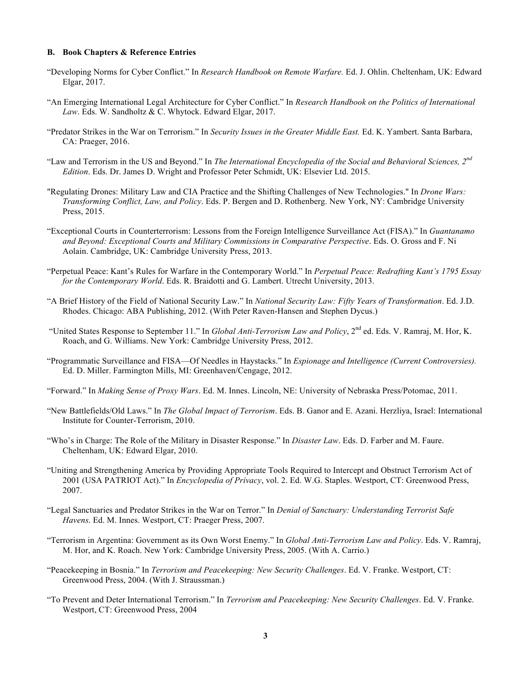#### **B. Book Chapters & Reference Entries**

- "Developing Norms for Cyber Conflict." In *Research Handbook on Remote Warfare.* Ed. J. Ohlin. Cheltenham, UK: Edward Elgar, 2017.
- "An Emerging International Legal Architecture for Cyber Conflict." In *Research Handbook on the Politics of International Law*. Eds. W. Sandholtz & C. Whytock. Edward Elgar, 2017.
- "Predator Strikes in the War on Terrorism." In *Security Issues in the Greater Middle East.* Ed. K. Yambert. Santa Barbara, CA: Praeger, 2016.
- "Law and Terrorism in the US and Beyond." In *The International Encyclopedia of the Social and Behavioral Sciences, 2nd Edition*. Eds. Dr. James D. Wright and Professor Peter Schmidt, UK: Elsevier Ltd. 2015.
- "Regulating Drones: Military Law and CIA Practice and the Shifting Challenges of New Technologies." In *Drone Wars: Transforming Conflict, Law, and Policy*. Eds. P. Bergen and D. Rothenberg. New York, NY: Cambridge University Press, 2015.
- "Exceptional Courts in Counterterrorism: Lessons from the Foreign Intelligence Surveillance Act (FISA)." In *Guantanamo and Beyond: Exceptional Courts and Military Commissions in Comparative Perspective*. Eds. O. Gross and F. Ni Aolain. Cambridge, UK: Cambridge University Press, 2013.
- "Perpetual Peace: Kant's Rules for Warfare in the Contemporary World." In *Perpetual Peace: Redrafting Kant's 1795 Essay for the Contemporary World*. Eds. R. Braidotti and G. Lambert. Utrecht University, 2013.
- "A Brief History of the Field of National Security Law." In *National Security Law: Fifty Years of Transformation*. Ed. J.D. Rhodes. Chicago: ABA Publishing, 2012. (With Peter Raven-Hansen and Stephen Dycus.)
- "United States Response to September 11." In *Global Anti-Terrorism Law and Policy*, 2<sup>nd</sup> ed. Eds. V. Ramraj, M. Hor, K. Roach, and G. Williams. New York: Cambridge University Press, 2012.
- "Programmatic Surveillance and FISA—Of Needles in Haystacks." In *Espionage and Intelligence (Current Controversies).*  Ed. D. Miller. Farmington Mills, MI: Greenhaven/Cengage, 2012.
- "Forward." In *Making Sense of Proxy Wars*. Ed. M. Innes. Lincoln, NE: University of Nebraska Press/Potomac, 2011.
- "New Battlefields/Old Laws." In *The Global Impact of Terrorism*. Eds. B. Ganor and E. Azani. Herzliya, Israel: International Institute for Counter-Terrorism, 2010.
- "Who's in Charge: The Role of the Military in Disaster Response." In *Disaster Law*. Eds. D. Farber and M. Faure. Cheltenham, UK: Edward Elgar, 2010.
- "Uniting and Strengthening America by Providing Appropriate Tools Required to Intercept and Obstruct Terrorism Act of 2001 (USA PATRIOT Act)." In *Encyclopedia of Privacy*, vol. 2. Ed. W.G. Staples. Westport, CT: Greenwood Press, 2007.
- "Legal Sanctuaries and Predator Strikes in the War on Terror." In *Denial of Sanctuary: Understanding Terrorist Safe Havens*. Ed. M. Innes. Westport, CT: Praeger Press, 2007.
- "Terrorism in Argentina: Government as its Own Worst Enemy." In *Global Anti-Terrorism Law and Policy*. Eds. V. Ramraj, M. Hor, and K. Roach. New York: Cambridge University Press, 2005. (With A. Carrio.)
- "Peacekeeping in Bosnia." In *Terrorism and Peacekeeping: New Security Challenges*. Ed. V. Franke. Westport, CT: Greenwood Press, 2004. (With J. Straussman.)
- "To Prevent and Deter International Terrorism." In *Terrorism and Peacekeeping: New Security Challenges*. Ed. V. Franke. Westport, CT: Greenwood Press, 2004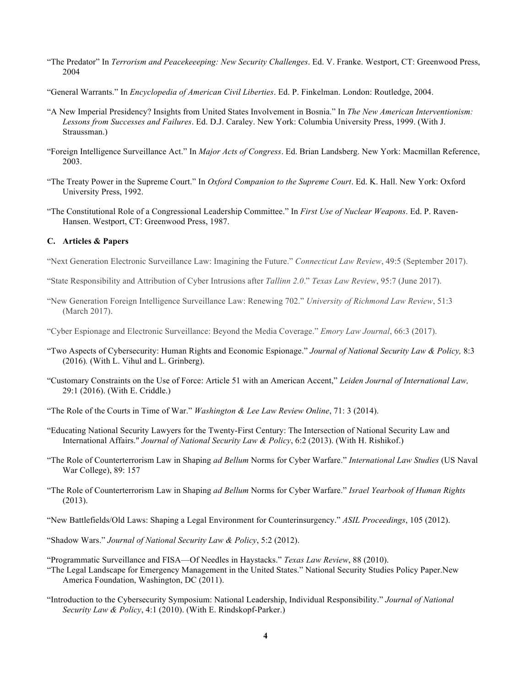- "The Predator" In *Terrorism and Peacekeeeping: New Security Challenges*. Ed. V. Franke. Westport, CT: Greenwood Press, 2004
- "General Warrants." In *Encyclopedia of American Civil Liberties*. Ed. P. Finkelman. London: Routledge, 2004.
- "A New Imperial Presidency? Insights from United States Involvement in Bosnia." In *The New American Interventionism: Lessons from Successes and Failures*. Ed. D.J. Caraley. New York: Columbia University Press, 1999. (With J. Straussman.)
- "Foreign Intelligence Surveillance Act." In *Major Acts of Congress*. Ed. Brian Landsberg. New York: Macmillan Reference, 2003.
- "The Treaty Power in the Supreme Court." In *Oxford Companion to the Supreme Court*. Ed. K. Hall. New York: Oxford University Press, 1992.
- "The Constitutional Role of a Congressional Leadership Committee." In *First Use of Nuclear Weapons*. Ed. P. Raven-Hansen. Westport, CT: Greenwood Press, 1987.

### **C. Articles & Papers**

- "Next Generation Electronic Surveillance Law: Imagining the Future." *Connecticut Law Review*, 49:5 (September 2017).
- "State Responsibility and Attribution of Cyber Intrusions after *Tallinn 2.0*." *Texas Law Review*, 95:7 (June 2017).
- "New Generation Foreign Intelligence Surveillance Law: Renewing 702." *University of Richmond Law Review*, 51:3 (March 2017).
- "Cyber Espionage and Electronic Surveillance: Beyond the Media Coverage." *Emory Law Journal*, 66:3 (2017).
- "Two Aspects of Cybersecurity: Human Rights and Economic Espionage." *Journal of National Security Law & Policy,* 8:3 (2016)*.* (With L. Vihul and L. Grinberg).
- "Customary Constraints on the Use of Force: Article 51 with an American Accent," *Leiden Journal of International Law,*  29:1 (2016). (With E. Criddle.)
- "The Role of the Courts in Time of War." *Washington & Lee Law Review Online*, 71: 3 (2014).
- "Educating National Security Lawyers for the Twenty-First Century: The Intersection of National Security Law and  International Affairs." *Journal of National Security Law & Policy*, 6:2 (2013). (With H. Rishikof.)
- "The Role of Counterterrorism Law in Shaping *ad Bellum* Norms for Cyber Warfare." *International Law Studies* (US Naval War College), 89: 157
- "The Role of Counterterrorism Law in Shaping *ad Bellum* Norms for Cyber Warfare." *Israel Yearbook of Human Rights*  (2013).
- "New Battlefields/Old Laws: Shaping a Legal Environment for Counterinsurgency." *ASIL Proceedings*, 105 (2012).
- "Shadow Wars." *Journal of National Security Law & Policy*, 5:2 (2012).
- "Programmatic Surveillance and FISA—Of Needles in Haystacks." *Texas Law Review*, 88 (2010).
- "The Legal Landscape for Emergency Management in the United States." National Security Studies Policy Paper.New America Foundation, Washington, DC (2011).
- "Introduction to the Cybersecurity Symposium: National Leadership, Individual Responsibility." *Journal of National Security Law & Policy*, 4:1 (2010). (With E. Rindskopf-Parker.)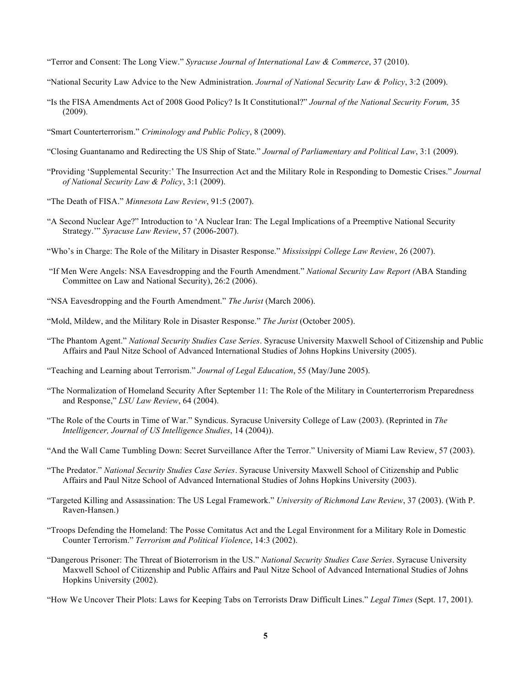- "Terror and Consent: The Long View." *Syracuse Journal of International Law & Commerce*, 37 (2010).
- "National Security Law Advice to the New Administration. *Journal of National Security Law & Policy*, 3:2 (2009).
- "Is the FISA Amendments Act of 2008 Good Policy? Is It Constitutional?" *Journal of the National Security Forum,* 35 (2009).
- "Smart Counterterrorism." *Criminology and Public Policy*, 8 (2009).
- "Closing Guantanamo and Redirecting the US Ship of State." *Journal of Parliamentary and Political Law*, 3:1 (2009).
- *of National Security Law & Policy*, 3:1 (2009). "Providing 'Supplemental Security:' The Insurrection Act and the Military Role in Responding to Domestic Crises." *Journal*
- "The Death of FISA." *Minnesota Law Review*, 91:5 (2007).
- "A Second Nuclear Age?" Introduction to 'A Nuclear Iran: The Legal Implications of a Preemptive National Security  Strategy.'" *Syracuse Law Review*, 57 (2006-2007).
- "Who's in Charge: The Role of the Military in Disaster Response." *Mississippi College Law Review*, 26 (2007).
- "If Men Were Angels: NSA Eavesdropping and the Fourth Amendment." *National Security Law Report (*ABA Standing Committee on Law and National Security), 26:2 (2006).
- "NSA Eavesdropping and the Fourth Amendment." *The Jurist* (March 2006).
- "Mold, Mildew, and the Military Role in Disaster Response." *The Jurist* (October 2005).
- "The Phantom Agent." *National Security Studies Case Series*. Syracuse University Maxwell School of Citizenship and Public Affairs and Paul Nitze School of Advanced International Studies of Johns Hopkins University (2005).
- "Teaching and Learning about Terrorism." *Journal of Legal Education*, 55 (May/June 2005).
- "The Normalization of Homeland Security After September 11: The Role of the Military in Counterterrorism Preparedness and Response," *LSU Law Review*, 64 (2004).
- "The Role of the Courts in Time of War." Syndicus. Syracuse University College of Law (2003). (Reprinted in *The Intelligencer, Journal of US Intelligence Studies*, 14 (2004)).
- "And the Wall Came Tumbling Down: Secret Surveillance After the Terror." University of Miami Law Review, 57 (2003).
- "The Predator." *National Security Studies Case Series*. Syracuse University Maxwell School of Citizenship and Public Affairs and Paul Nitze School of Advanced International Studies of Johns Hopkins University (2003).
- "Targeted Killing and Assassination: The US Legal Framework." *University of Richmond Law Review*, 37 (2003). (With P. Raven-Hansen.)
- "Troops Defending the Homeland: The Posse Comitatus Act and the Legal Environment for a Military Role in Domestic  Counter Terrorism." *Terrorism and Political Violence*, 14:3 (2002).
- "Dangerous Prisoner: The Threat of Bioterrorism in the US." *National Security Studies Case Series*. Syracuse University Maxwell School of Citizenship and Public Affairs and Paul Nitze School of Advanced International Studies of Johns Hopkins University (2002).

"How We Uncover Their Plots: Laws for Keeping Tabs on Terrorists Draw Difficult Lines." *Legal Times* (Sept. 17, 2001).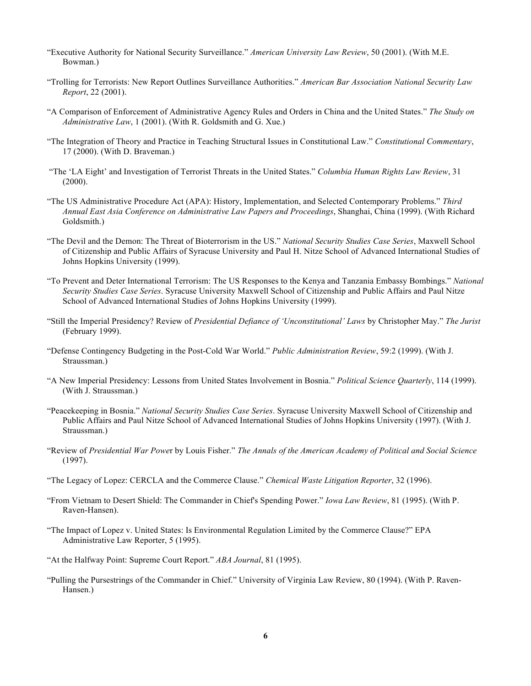- "Executive Authority for National Security Surveillance." *American University Law Review*, 50 (2001). (With M.E. Bowman.)
- "Trolling for Terrorists: New Report Outlines Surveillance Authorities." *American Bar Association National Security Law Report*, 22 (2001).
- "A Comparison of Enforcement of Administrative Agency Rules and Orders in China and the United States." *The Study on Administrative Law*, 1 (2001). (With R. Goldsmith and G. Xue.)
- "The Integration of Theory and Practice in Teaching Structural Issues in Constitutional Law." *Constitutional Commentary*, 17 (2000). (With D. Braveman.)
- "The 'LA Eight' and Investigation of Terrorist Threats in the United States." *Columbia Human Rights Law Review*, 31 (2000).
- "The US Administrative Procedure Act (APA): History, Implementation, and Selected Contemporary Problems." *Third Annual East Asia Conference on Administrative Law Papers and Proceedings*, Shanghai, China (1999). (With Richard Goldsmith.)
- "The Devil and the Demon: The Threat of Bioterrorism in the US." *National Security Studies Case Series*, Maxwell School of Citizenship and Public Affairs of Syracuse University and Paul H. Nitze School of Advanced International Studies of Johns Hopkins University (1999).
- "To Prevent and Deter International Terrorism: The US Responses to the Kenya and Tanzania Embassy Bombings." *National Security Studies Case Series*. Syracuse University Maxwell School of Citizenship and Public Affairs and Paul Nitze School of Advanced International Studies of Johns Hopkins University (1999).
- "Still the Imperial Presidency? Review of *Presidential Defiance of 'Unconstitutional' Laws* by Christopher May." *The Jurist*  (February 1999).
- "Defense Contingency Budgeting in the Post-Cold War World." *Public Administration Review*, 59:2 (1999). (With J. Straussman.)
- "A New Imperial Presidency: Lessons from United States Involvement in Bosnia." *Political Science Quarterly*, 114 (1999). (With J. Straussman.)
- "Peacekeeping in Bosnia." *National Security Studies Case Series*. Syracuse University Maxwell School of Citizenship and Public Affairs and Paul Nitze School of Advanced International Studies of Johns Hopkins University (1997). (With J. Straussman.)
- "Review of *Presidential War Powe*r by Louis Fisher." *The Annals of the American Academy of Political and Social Science*  (1997).
- "The Legacy of Lopez: CERCLA and the Commerce Clause." *Chemical Waste Litigation Reporter*, 32 (1996).
- "From Vietnam to Desert Shield: The Commander in Chief's Spending Power." *Iowa Law Review*, 81 (1995). (With P. Raven-Hansen).
- "The Impact of Lopez v. United States: Is Environmental Regulation Limited by the Commerce Clause?" EPA Administrative Law Reporter, 5 (1995).
- "At the Halfway Point: Supreme Court Report." *ABA Journal*, 81 (1995).
- "Pulling the Pursestrings of the Commander in Chief." University of Virginia Law Review, 80 (1994). (With P. Raven-Hansen.)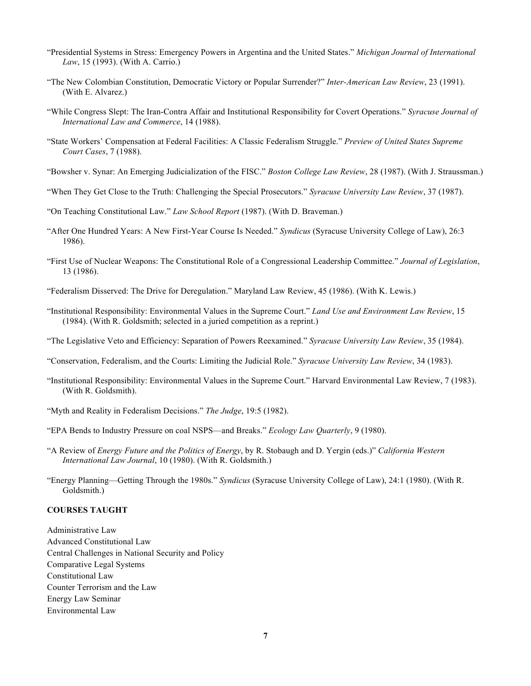- "Presidential Systems in Stress: Emergency Powers in Argentina and the United States." *Michigan Journal of International Law*, 15 (1993). (With A. Carrio.)
- "The New Colombian Constitution, Democratic Victory or Popular Surrender?" *Inter-American Law Review*, 23 (1991). (With E. Alvarez.)
- "While Congress Slept: The Iran-Contra Affair and Institutional Responsibility for Covert Operations." *Syracuse Journal of International Law and Commerce*, 14 (1988).
- "State Workers' Compensation at Federal Facilities: A Classic Federalism Struggle." *Preview of United States Supreme Court Cases*, 7 (1988).
- "Bowsher v. Synar: An Emerging Judicialization of the FISC." *Boston College Law Review*, 28 (1987). (With J. Straussman.)
- "When They Get Close to the Truth: Challenging the Special Prosecutors." *Syracuse University Law Review*, 37 (1987).
- "On Teaching Constitutional Law." *Law School Report* (1987). (With D. Braveman.)
- "After One Hundred Years: A New First-Year Course Is Needed." *Syndicus* (Syracuse University College of Law), 26:3 1986).
- "First Use of Nuclear Weapons: The Constitutional Role of a Congressional Leadership Committee." *Journal of Legislation*, 13 (1986).
- "Federalism Disserved: The Drive for Deregulation." Maryland Law Review, 45 (1986). (With K. Lewis.)
- "Institutional Responsibility: Environmental Values in the Supreme Court." *Land Use and Environment Law Review*, 15 (1984). (With R. Goldsmith; selected in a juried competition as a reprint.)
- "The Legislative Veto and Efficiency: Separation of Powers Reexamined." *Syracuse University Law Review*, 35 (1984).
- "Conservation, Federalism, and the Courts: Limiting the Judicial Role." *Syracuse University Law Review*, 34 (1983).
- "Institutional Responsibility: Environmental Values in the Supreme Court." Harvard Environmental Law Review, 7 (1983). (With R. Goldsmith).
- "Myth and Reality in Federalism Decisions." *The Judge*, 19:5 (1982).
- "EPA Bends to Industry Pressure on coal NSPS—and Breaks." *Ecology Law Quarterly*, 9 (1980).
- "A Review of *Energy Future and the Politics of Energy*, by R. Stobaugh and D. Yergin (eds.)" *California Western International Law Journal*, 10 (1980). (With R. Goldsmith.)
- "Energy Planning—Getting Through the 1980s." *Syndicus* (Syracuse University College of Law), 24:1 (1980). (With R. Goldsmith.)

# **COURSES TAUGHT**

 Central Challenges in National Security and Policy Comparative Legal Systems Counter Terrorism and the Law Energy Law Seminar Administrative Law Advanced Constitutional Law Constitutional Law Environmental Law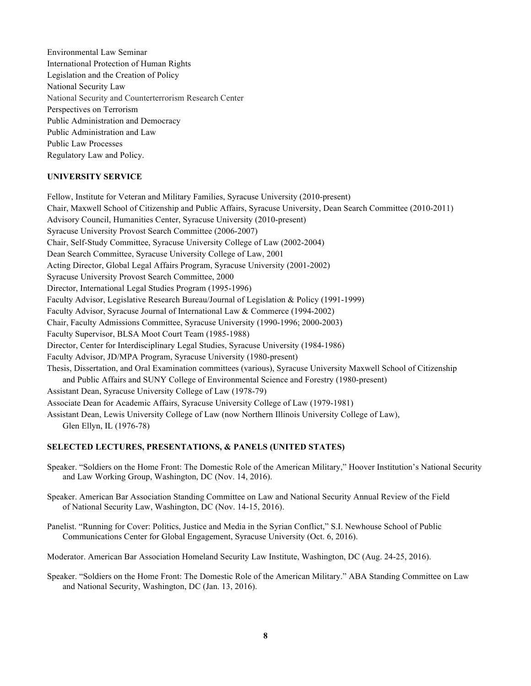Environmental Law Seminar International Protection of Human Rights Legislation and the Creation of Policy National Security Law National Security and Counterterrorism Research Center Perspectives on Terrorism Public Administration and Democracy Public Administration and Law Public Law Processes Regulatory Law and Policy.

# **UNIVERSITY SERVICE**

 Fellow, Institute for Veteran and Military Families, Syracuse University (2010-present) Chair, Maxwell School of Citizenship and Public Affairs, Syracuse University, Dean Search Committee (2010-2011) Advisory Council, Humanities Center, Syracuse University (2010-present) Syracuse University Provost Search Committee (2006-2007) Chair, Self-Study Committee, Syracuse University College of Law (2002-2004) Dean Search Committee, Syracuse University College of Law, 2001 Acting Director, Global Legal Affairs Program, Syracuse University (2001-2002) Syracuse University Provost Search Committee, 2000 Director, International Legal Studies Program (1995-1996) Faculty Advisor, Legislative Research Bureau/Journal of Legislation & Policy (1991-1999) Faculty Advisor, Syracuse Journal of International Law & Commerce (1994-2002) Chair, Faculty Admissions Committee, Syracuse University (1990-1996; 2000-2003) Faculty Supervisor, BLSA Moot Court Team (1985-1988) Director, Center for Interdisciplinary Legal Studies, Syracuse University (1984-1986) Faculty Advisor, JD/MPA Program, Syracuse University (1980-present) Thesis, Dissertation, and Oral Examination committees (various), Syracuse University Maxwell School of Citizenship and Public Affairs and SUNY College of Environmental Science and Forestry (1980-present) Assistant Dean, Syracuse University College of Law (1978-79) Associate Dean for Academic Affairs, Syracuse University College of Law (1979-1981) Assistant Dean, Lewis University College of Law (now Northern Illinois University College of Law), Glen Ellyn, IL (1976-78)

## **SELECTED LECTURES, PRESENTATIONS, & PANELS (UNITED STATES)**

 Speaker. "Soldiers on the Home Front: The Domestic Role of the American Military," Hoover Institution's National Security and Law Working Group, Washington, DC (Nov. 14, 2016).

 Speaker. American Bar Association Standing Committee on Law and National Security Annual Review of the Field of National Security Law, Washington, DC (Nov. 14-15, 2016).

 Panelist. "Running for Cover: Politics, Justice and Media in the Syrian Conflict," S.I. Newhouse School of Public Communications Center for Global Engagement, Syracuse University (Oct. 6, 2016).

Moderator. American Bar Association Homeland Security Law Institute, Washington, DC (Aug. 24-25, 2016).

 Speaker. "Soldiers on the Home Front: The Domestic Role of the American Military." ABA Standing Committee on Law and National Security, Washington, DC (Jan. 13, 2016).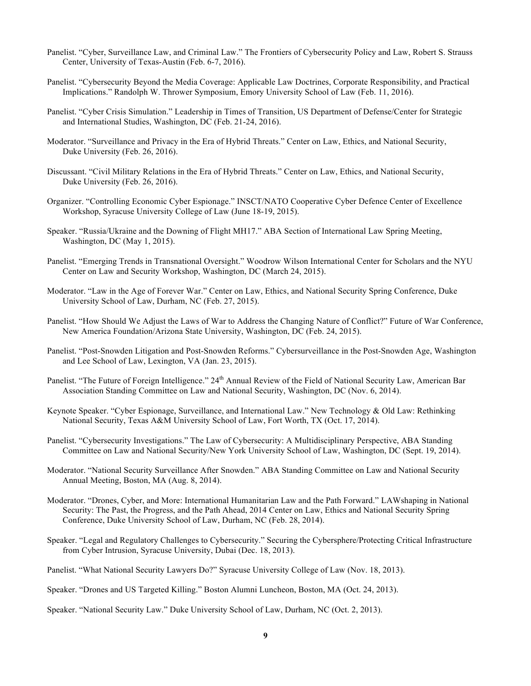- Panelist. "Cyber, Surveillance Law, and Criminal Law." The Frontiers of Cybersecurity Policy and Law, Robert S. Strauss Center, University of Texas-Austin (Feb. 6-7, 2016).
- Panelist. "Cybersecurity Beyond the Media Coverage: Applicable Law Doctrines, Corporate Responsibility, and Practical Implications." Randolph W. Thrower Symposium, Emory University School of Law (Feb. 11, 2016).
- Panelist. "Cyber Crisis Simulation." Leadership in Times of Transition, US Department of Defense/Center for Strategic and International Studies, Washington, DC (Feb. 21-24, 2016).
- Moderator. "Surveillance and Privacy in the Era of Hybrid Threats." Center on Law, Ethics, and National Security, Duke University (Feb. 26, 2016).
- Discussant. "Civil Military Relations in the Era of Hybrid Threats." Center on Law, Ethics, and National Security, Duke University (Feb. 26, 2016).
- Organizer. "Controlling Economic Cyber Espionage." INSCT/NATO Cooperative Cyber Defence Center of Excellence Workshop, Syracuse University College of Law (June 18-19, 2015).
- Speaker. "Russia/Ukraine and the Downing of Flight MH17." ABA Section of International Law Spring Meeting, Washington, DC (May 1, 2015).
- Panelist. "Emerging Trends in Transnational Oversight." Woodrow Wilson International Center for Scholars and the NYU Center on Law and Security Workshop, Washington, DC (March 24, 2015).
- Moderator. "Law in the Age of Forever War." Center on Law, Ethics, and National Security Spring Conference, Duke University School of Law, Durham, NC (Feb. 27, 2015).
- Panelist. "How Should We Adjust the Laws of War to Address the Changing Nature of Conflict?" Future of War Conference, New America Foundation/Arizona State University, Washington, DC (Feb. 24, 2015).
- Panelist. "Post-Snowden Litigation and Post-Snowden Reforms." Cybersurveillance in the Post-Snowden Age, Washington and Lee School of Law, Lexington, VA (Jan. 23, 2015).
- Panelist. "The Future of Foreign Intelligence." 24<sup>th</sup> Annual Review of the Field of National Security Law, American Bar Association Standing Committee on Law and National Security, Washington, DC (Nov. 6, 2014).
- Keynote Speaker. "Cyber Espionage, Surveillance, and International Law." New Technology & Old Law: Rethinking National Security, Texas A&M University School of Law, Fort Worth, TX (Oct. 17, 2014).
- Panelist. "Cybersecurity Investigations." The Law of Cybersecurity: A Multidisciplinary Perspective, ABA Standing Committee on Law and National Security/New York University School of Law, Washington, DC (Sept. 19, 2014).
- Moderator. "National Security Surveillance After Snowden." ABA Standing Committee on Law and National Security Annual Meeting, Boston, MA (Aug. 8, 2014).
- Moderator. "Drones, Cyber, and More: International Humanitarian Law and the Path Forward." LAWshaping in National Security: The Past, the Progress, and the Path Ahead, 2014 Center on Law, Ethics and National Security Spring Conference, Duke University School of Law, Durham, NC (Feb. 28, 2014).
- Speaker. "Legal and Regulatory Challenges to Cybersecurity." Securing the Cybersphere/Protecting Critical Infrastructure from Cyber Intrusion, Syracuse University, Dubai (Dec. 18, 2013).
- Panelist. "What National Security Lawyers Do?" Syracuse University College of Law (Nov. 18, 2013).
- Speaker. "Drones and US Targeted Killing." Boston Alumni Luncheon, Boston, MA (Oct. 24, 2013).
- Speaker. "National Security Law." Duke University School of Law, Durham, NC (Oct. 2, 2013).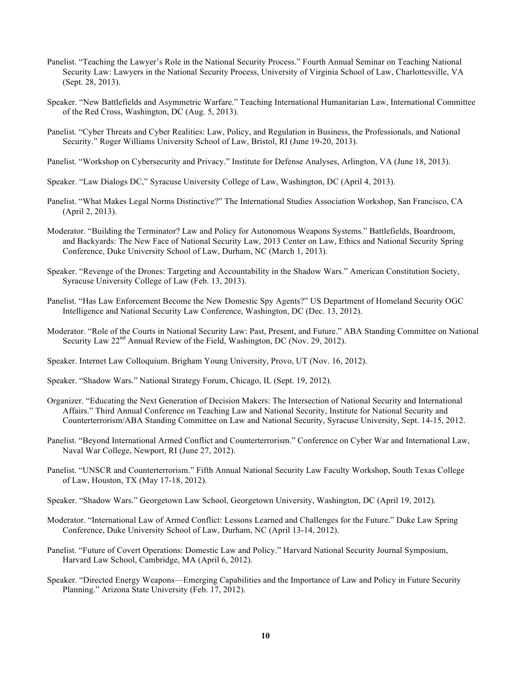- Panelist. "Teaching the Lawyer's Role in the National Security Process." Fourth Annual Seminar on Teaching National Security Law: Lawyers in the National Security Process, University of Virginia School of Law, Charlottesville, VA (Sept. 28, 2013).
- Speaker. "New Battlefields and Asymmetric Warfare." Teaching International Humanitarian Law, International Committee of the Red Cross, Washington, DC (Aug. 5, 2013).
- Panelist. "Cyber Threats and Cyber Realities: Law, Policy, and Regulation in Business, the Professionals, and National Security." Roger Williams University School of Law, Bristol, RI (June 19-20, 2013).
- Panelist. "Workshop on Cybersecurity and Privacy." Institute for Defense Analyses, Arlington, VA (June 18, 2013).
- Speaker. "Law Dialogs DC," Syracuse University College of Law, Washington, DC (April 4, 2013).
- Panelist. "What Makes Legal Norms Distinctive?" The International Studies Association Workshop, San Francisco, CA (April 2, 2013).
- Moderator. "Building the Terminator? Law and Policy for Autonomous Weapons Systems." Battlefields, Boardroom, and Backyards: The New Face of National Security Law, 2013 Center on Law, Ethics and National Security Spring Conference, Duke University School of Law, Durham, NC (March 1, 2013).
- Speaker. "Revenge of the Drones: Targeting and Accountability in the Shadow Wars." American Constitution Society, Syracuse University College of Law (Feb. 13, 2013).
- Panelist. "Has Law Enforcement Become the New Domestic Spy Agents?" US Department of Homeland Security OGC Intelligence and National Security Law Conference, Washington, DC (Dec. 13, 2012).
- Moderator. "Role of the Courts in National Security Law: Past, Present, and Future." ABA Standing Committee on National Security Law  $22<sup>nd</sup>$  Annual Review of the Field, Washington, DC (Nov. 29, 2012).
- Speaker. Internet Law Colloquium. Brigham Young University, Provo, UT (Nov. 16, 2012).
- Speaker. "Shadow Wars." National Strategy Forum, Chicago, IL (Sept. 19, 2012).
- Organizer. "Educating the Next Generation of Decision Makers: The Intersection of National Security and International Affairs." Third Annual Conference on Teaching Law and National Security, Institute for National Security and Counterterrorism/ABA Standing Committee on Law and National Security, Syracuse University, Sept. 14-15, 2012.
- Panelist. "Beyond International Armed Conflict and Counterterrorism." Conference on Cyber War and International Law, Naval War College, Newport, RI (June 27, 2012).
- Panelist. "UNSCR and Counterterrorism." Fifth Annual National Security Law Faculty Workshop, South Texas College of Law, Houston, TX (May 17-18, 2012).
- Speaker. "Shadow Wars." Georgetown Law School, Georgetown University, Washington, DC (April 19, 2012).
- Moderator. "International Law of Armed Conflict: Lessons Learned and Challenges for the Future." Duke Law Spring Conference, Duke University School of Law, Durham, NC (April 13-14, 2012).
- Panelist. "Future of Covert Operations: Domestic Law and Policy." Harvard National Security Journal Symposium, Harvard Law School, Cambridge, MA (April 6, 2012).
- Speaker. "Directed Energy Weapons—Emerging Capabilities and the Importance of Law and Policy in Future Security Planning." Arizona State University (Feb. 17, 2012).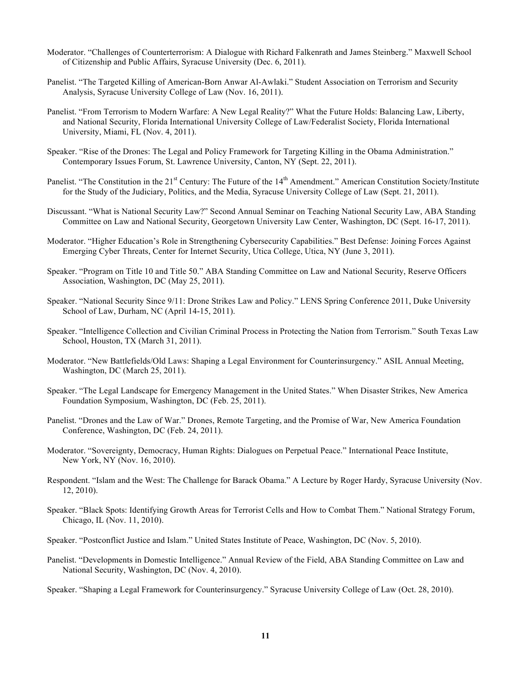- Moderator. "Challenges of Counterterrorism: A Dialogue with Richard Falkenrath and James Steinberg." Maxwell School of Citizenship and Public Affairs, Syracuse University (Dec. 6, 2011).
- Panelist. "The Targeted Killing of American-Born Anwar Al-Awlaki." Student Association on Terrorism and Security Analysis, Syracuse University College of Law (Nov. 16, 2011).
- Panelist. "From Terrorism to Modern Warfare: A New Legal Reality?" What the Future Holds: Balancing Law, Liberty, and National Security, Florida International University College of Law/Federalist Society, Florida International University, Miami, FL (Nov. 4, 2011).
- Speaker. "Rise of the Drones: The Legal and Policy Framework for Targeting Killing in the Obama Administration." Contemporary Issues Forum, St. Lawrence University, Canton, NY (Sept. 22, 2011).
- Panelist. "The Constitution in the 21<sup>st</sup> Century: The Future of the 14<sup>th</sup> Amendment." American Constitution Society/Institute for the Study of the Judiciary, Politics, and the Media, Syracuse University College of Law (Sept. 21, 2011).
- Discussant. "What is National Security Law?" Second Annual Seminar on Teaching National Security Law, ABA Standing Committee on Law and National Security, Georgetown University Law Center, Washington, DC (Sept. 16-17, 2011).
- Moderator. "Higher Education's Role in Strengthening Cybersecurity Capabilities." Best Defense: Joining Forces Against Emerging Cyber Threats, Center for Internet Security, Utica College, Utica, NY (June 3, 2011).
- Speaker. "Program on Title 10 and Title 50." ABA Standing Committee on Law and National Security, Reserve Officers Association, Washington, DC (May 25, 2011).
- Speaker. "National Security Since 9/11: Drone Strikes Law and Policy." LENS Spring Conference 2011, Duke University School of Law, Durham, NC (April 14-15, 2011).
- Speaker. "Intelligence Collection and Civilian Criminal Process in Protecting the Nation from Terrorism." South Texas Law School, Houston, TX (March 31, 2011).
- Moderator. "New Battlefields/Old Laws: Shaping a Legal Environment for Counterinsurgency." ASIL Annual Meeting, Washington, DC (March 25, 2011).
- Speaker. "The Legal Landscape for Emergency Management in the United States." When Disaster Strikes, New America Foundation Symposium, Washington, DC (Feb. 25, 2011).
- Panelist. "Drones and the Law of War." Drones, Remote Targeting, and the Promise of War, New America Foundation Conference, Washington, DC (Feb. 24, 2011).
- Moderator. "Sovereignty, Democracy, Human Rights: Dialogues on Perpetual Peace." International Peace Institute, New York, NY (Nov. 16, 2010).
- Respondent. "Islam and the West: The Challenge for Barack Obama." A Lecture by Roger Hardy, Syracuse University (Nov. 12, 2010).
- Speaker. "Black Spots: Identifying Growth Areas for Terrorist Cells and How to Combat Them." National Strategy Forum, Chicago, IL (Nov. 11, 2010).
- Speaker. "Postconflict Justice and Islam." United States Institute of Peace, Washington, DC (Nov. 5, 2010).
- Panelist. "Developments in Domestic Intelligence." Annual Review of the Field, ABA Standing Committee on Law and National Security, Washington, DC (Nov. 4, 2010).

Speaker. "Shaping a Legal Framework for Counterinsurgency." Syracuse University College of Law (Oct. 28, 2010).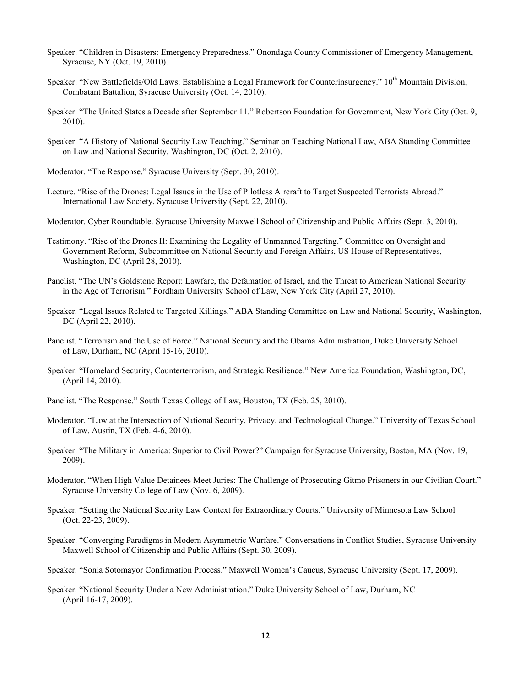- Speaker. "Children in Disasters: Emergency Preparedness." Onondaga County Commissioner of Emergency Management, Syracuse, NY (Oct. 19, 2010).
- Speaker. "New Battlefields/Old Laws: Establishing a Legal Framework for Counterinsurgency." 10<sup>th</sup> Mountain Division, Combatant Battalion, Syracuse University (Oct. 14, 2010).
- Speaker. "The United States a Decade after September 11." Robertson Foundation for Government, New York City (Oct. 9, 2010).
- Speaker. "A History of National Security Law Teaching." Seminar on Teaching National Law, ABA Standing Committee on Law and National Security, Washington, DC (Oct. 2, 2010).
- Moderator. "The Response." Syracuse University (Sept. 30, 2010).
- Lecture. "Rise of the Drones: Legal Issues in the Use of Pilotless Aircraft to Target Suspected Terrorists Abroad." International Law Society, Syracuse University (Sept. 22, 2010).
- Moderator. Cyber Roundtable. Syracuse University Maxwell School of Citizenship and Public Affairs (Sept. 3, 2010).
- Testimony. "Rise of the Drones II: Examining the Legality of Unmanned Targeting." Committee on Oversight and Government Reform, Subcommittee on National Security and Foreign Affairs, US House of Representatives, Washington, DC (April 28, 2010).
- Panelist. "The UN's Goldstone Report: Lawfare, the Defamation of Israel, and the Threat to American National Security in the Age of Terrorism." Fordham University School of Law, New York City (April 27, 2010).
- Speaker. "Legal Issues Related to Targeted Killings." ABA Standing Committee on Law and National Security, Washington, DC (April 22, 2010).
- Panelist. "Terrorism and the Use of Force." National Security and the Obama Administration, Duke University School of Law, Durham, NC (April 15-16, 2010).
- Speaker. "Homeland Security, Counterterrorism, and Strategic Resilience." New America Foundation, Washington, DC, (April 14, 2010).
- Panelist. "The Response." South Texas College of Law, Houston, TX (Feb. 25, 2010).
- Moderator. "Law at the Intersection of National Security, Privacy, and Technological Change." University of Texas School of Law, Austin, TX (Feb. 4-6, 2010).
- Speaker. "The Military in America: Superior to Civil Power?" Campaign for Syracuse University, Boston, MA (Nov. 19, 2009).
- Moderator, "When High Value Detainees Meet Juries: The Challenge of Prosecuting Gitmo Prisoners in our Civilian Court." Syracuse University College of Law (Nov. 6, 2009).
- Speaker. "Setting the National Security Law Context for Extraordinary Courts." University of Minnesota Law School (Oct. 22-23, 2009).
- Speaker. "Converging Paradigms in Modern Asymmetric Warfare." Conversations in Conflict Studies, Syracuse University Maxwell School of Citizenship and Public Affairs (Sept. 30, 2009).
- Speaker. "Sonia Sotomayor Confirmation Process." Maxwell Women's Caucus, Syracuse University (Sept. 17, 2009).

 Speaker. "National Security Under a New Administration." Duke University School of Law, Durham, NC (April 16-17, 2009).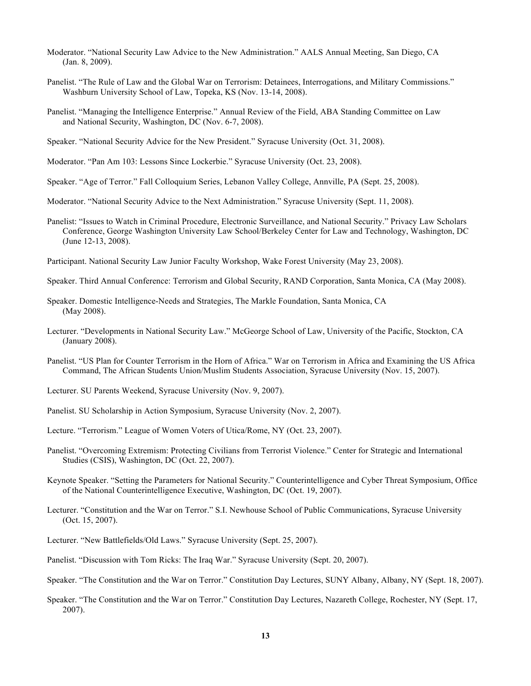- Moderator. "National Security Law Advice to the New Administration." AALS Annual Meeting, San Diego, CA (Jan. 8, 2009).
- Panelist. "The Rule of Law and the Global War on Terrorism: Detainees, Interrogations, and Military Commissions." Washburn University School of Law, Topeka, KS (Nov. 13-14, 2008).
- Panelist. "Managing the Intelligence Enterprise." Annual Review of the Field, ABA Standing Committee on Law and National Security, Washington, DC (Nov. 6-7, 2008).
- Speaker. "National Security Advice for the New President." Syracuse University (Oct. 31, 2008).
- Moderator. "Pan Am 103: Lessons Since Lockerbie." Syracuse University (Oct. 23, 2008).
- Speaker. "Age of Terror." Fall Colloquium Series, Lebanon Valley College, Annville, PA (Sept. 25, 2008).
- Moderator. "National Security Advice to the Next Administration." Syracuse University (Sept. 11, 2008).
- Panelist: "Issues to Watch in Criminal Procedure, Electronic Surveillance, and National Security." Privacy Law Scholars Conference, George Washington University Law School/Berkeley Center for Law and Technology, Washington, DC (June 12-13, 2008).
- Participant. National Security Law Junior Faculty Workshop, Wake Forest University (May 23, 2008).
- Speaker. Third Annual Conference: Terrorism and Global Security, RAND Corporation, Santa Monica, CA (May 2008).
- Speaker. Domestic Intelligence-Needs and Strategies, The Markle Foundation, Santa Monica, CA (May 2008).
- Lecturer. "Developments in National Security Law." McGeorge School of Law, University of the Pacific, Stockton, CA (January 2008).
- Panelist. "US Plan for Counter Terrorism in the Horn of Africa." War on Terrorism in Africa and Examining the US Africa Command, The African Students Union/Muslim Students Association, Syracuse University (Nov. 15, 2007).
- Lecturer. SU Parents Weekend, Syracuse University (Nov. 9, 2007).
- Panelist. SU Scholarship in Action Symposium, Syracuse University (Nov. 2, 2007).
- Lecture. "Terrorism." League of Women Voters of Utica/Rome, NY (Oct. 23, 2007).
- Panelist. "Overcoming Extremism: Protecting Civilians from Terrorist Violence." Center for Strategic and International Studies (CSIS), Washington, DC (Oct. 22, 2007).
- Keynote Speaker. "Setting the Parameters for National Security." Counterintelligence and Cyber Threat Symposium, Office of the National Counterintelligence Executive, Washington, DC (Oct. 19, 2007).
- Lecturer. "Constitution and the War on Terror." S.I. Newhouse School of Public Communications, Syracuse University (Oct. 15, 2007).
- Lecturer. "New Battlefields/Old Laws." Syracuse University (Sept. 25, 2007).
- Panelist. "Discussion with Tom Ricks: The Iraq War." Syracuse University (Sept. 20, 2007).
- Speaker. "The Constitution and the War on Terror." Constitution Day Lectures, SUNY Albany, Albany, NY (Sept. 18, 2007).
- Speaker. "The Constitution and the War on Terror." Constitution Day Lectures, Nazareth College, Rochester, NY (Sept. 17, 2007).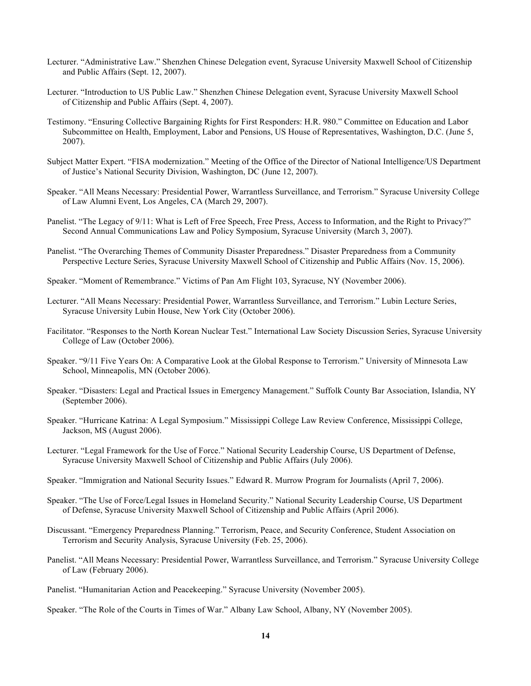- Lecturer. "Administrative Law." Shenzhen Chinese Delegation event, Syracuse University Maxwell School of Citizenship and Public Affairs (Sept. 12, 2007).
- Lecturer. "Introduction to US Public Law." Shenzhen Chinese Delegation event, Syracuse University Maxwell School of Citizenship and Public Affairs (Sept. 4, 2007).
- Testimony. "Ensuring Collective Bargaining Rights for First Responders: H.R. 980." Committee on Education and Labor Subcommittee on Health, Employment, Labor and Pensions, US House of Representatives, Washington, D.C. (June 5, 2007).
- Subject Matter Expert. "FISA modernization." Meeting of the Office of the Director of National Intelligence/US Department of Justice's National Security Division, Washington, DC (June 12, 2007).
- Speaker. "All Means Necessary: Presidential Power, Warrantless Surveillance, and Terrorism." Syracuse University College of Law Alumni Event, Los Angeles, CA (March 29, 2007).
- Panelist. "The Legacy of 9/11: What is Left of Free Speech, Free Press, Access to Information, and the Right to Privacy?" Second Annual Communications Law and Policy Symposium, Syracuse University (March 3, 2007).
- Panelist. "The Overarching Themes of Community Disaster Preparedness." Disaster Preparedness from a Community Perspective Lecture Series, Syracuse University Maxwell School of Citizenship and Public Affairs (Nov. 15, 2006).
- Speaker. "Moment of Remembrance." Victims of Pan Am Flight 103, Syracuse, NY (November 2006).
- Lecturer. "All Means Necessary: Presidential Power, Warrantless Surveillance, and Terrorism." Lubin Lecture Series, Syracuse University Lubin House, New York City (October 2006).
- Facilitator. "Responses to the North Korean Nuclear Test." International Law Society Discussion Series, Syracuse University College of Law (October 2006).
- Speaker. "9/11 Five Years On: A Comparative Look at the Global Response to Terrorism." University of Minnesota Law School, Minneapolis, MN (October 2006).
- Speaker. "Disasters: Legal and Practical Issues in Emergency Management." Suffolk County Bar Association, Islandia, NY (September 2006).
- Speaker. "Hurricane Katrina: A Legal Symposium." Mississippi College Law Review Conference, Mississippi College, Jackson, MS (August 2006).
- Lecturer. "Legal Framework for the Use of Force." National Security Leadership Course, US Department of Defense, Syracuse University Maxwell School of Citizenship and Public Affairs (July 2006).
- Speaker. "Immigration and National Security Issues." Edward R. Murrow Program for Journalists (April 7, 2006).
- Speaker. "The Use of Force/Legal Issues in Homeland Security." National Security Leadership Course, US Department of Defense, Syracuse University Maxwell School of Citizenship and Public Affairs (April 2006).
- Discussant. "Emergency Preparedness Planning." Terrorism, Peace, and Security Conference, Student Association on Terrorism and Security Analysis, Syracuse University (Feb. 25, 2006).
- Panelist. "All Means Necessary: Presidential Power, Warrantless Surveillance, and Terrorism." Syracuse University College of Law (February 2006).
- Panelist. "Humanitarian Action and Peacekeeping." Syracuse University (November 2005).
- Speaker. "The Role of the Courts in Times of War." Albany Law School, Albany, NY (November 2005).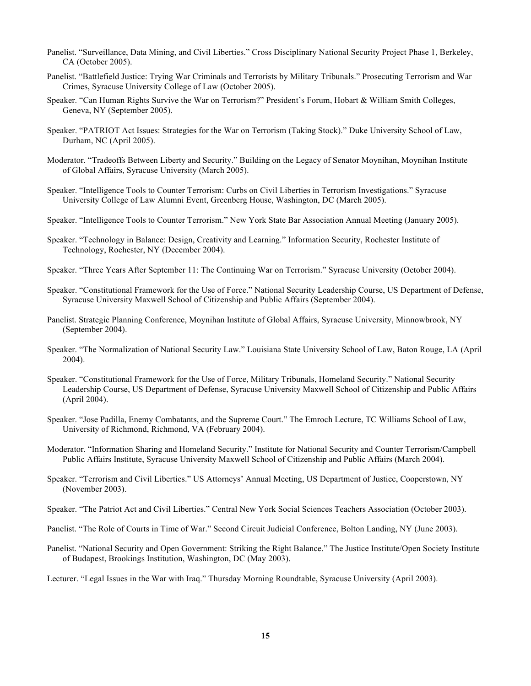- Panelist. "Surveillance, Data Mining, and Civil Liberties." Cross Disciplinary National Security Project Phase 1, Berkeley, CA (October 2005).
- Panelist. "Battlefield Justice: Trying War Criminals and Terrorists by Military Tribunals." Prosecuting Terrorism and War Crimes, Syracuse University College of Law (October 2005).
- Speaker. "Can Human Rights Survive the War on Terrorism?" President's Forum, Hobart & William Smith Colleges, Geneva, NY (September 2005).
- Speaker. "PATRIOT Act Issues: Strategies for the War on Terrorism (Taking Stock)." Duke University School of Law, Durham, NC (April 2005).
- Moderator. "Tradeoffs Between Liberty and Security." Building on the Legacy of Senator Moynihan, Moynihan Institute of Global Affairs, Syracuse University (March 2005).
- Speaker. "Intelligence Tools to Counter Terrorism: Curbs on Civil Liberties in Terrorism Investigations." Syracuse University College of Law Alumni Event, Greenberg House, Washington, DC (March 2005).
- Speaker. "Intelligence Tools to Counter Terrorism." New York State Bar Association Annual Meeting (January 2005).
- Speaker. "Technology in Balance: Design, Creativity and Learning." Information Security, Rochester Institute of Technology, Rochester, NY (December 2004).
- Speaker. "Three Years After September 11: The Continuing War on Terrorism." Syracuse University (October 2004).
- Speaker. "Constitutional Framework for the Use of Force." National Security Leadership Course, US Department of Defense, Syracuse University Maxwell School of Citizenship and Public Affairs (September 2004).
- Panelist. Strategic Planning Conference, Moynihan Institute of Global Affairs, Syracuse University, Minnowbrook, NY (September 2004).
- Speaker. "The Normalization of National Security Law." Louisiana State University School of Law, Baton Rouge, LA (April 2004).
- Speaker. "Constitutional Framework for the Use of Force, Military Tribunals, Homeland Security." National Security Leadership Course, US Department of Defense, Syracuse University Maxwell School of Citizenship and Public Affairs (April 2004).
- Speaker. "Jose Padilla, Enemy Combatants, and the Supreme Court." The Emroch Lecture, TC Williams School of Law, University of Richmond, Richmond, VA (February 2004).
- Moderator. "Information Sharing and Homeland Security." Institute for National Security and Counter Terrorism/Campbell Public Affairs Institute, Syracuse University Maxwell School of Citizenship and Public Affairs (March 2004).
- Speaker. "Terrorism and Civil Liberties." US Attorneys' Annual Meeting, US Department of Justice, Cooperstown, NY (November 2003).
- Speaker. "The Patriot Act and Civil Liberties." Central New York Social Sciences Teachers Association (October 2003).
- Panelist. "The Role of Courts in Time of War." Second Circuit Judicial Conference, Bolton Landing, NY (June 2003).
- Panelist. "National Security and Open Government: Striking the Right Balance." The Justice Institute/Open Society Institute of Budapest, Brookings Institution, Washington, DC (May 2003).
- Lecturer. "Legal Issues in the War with Iraq." Thursday Morning Roundtable, Syracuse University (April 2003).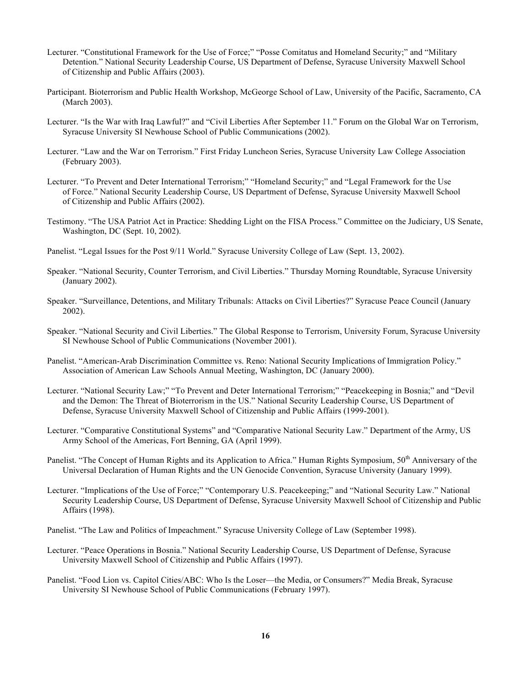- Lecturer. "Constitutional Framework for the Use of Force;" "Posse Comitatus and Homeland Security;" and "Military Detention." National Security Leadership Course, US Department of Defense, Syracuse University Maxwell School of Citizenship and Public Affairs (2003).
- Participant. Bioterrorism and Public Health Workshop, McGeorge School of Law, University of the Pacific, Sacramento, CA (March 2003).
- Lecturer. "Is the War with Iraq Lawful?" and "Civil Liberties After September 11." Forum on the Global War on Terrorism, Syracuse University SI Newhouse School of Public Communications (2002).
- Lecturer. "Law and the War on Terrorism." First Friday Luncheon Series, Syracuse University Law College Association (February 2003).
- Lecturer. "To Prevent and Deter International Terrorism;" "Homeland Security;" and "Legal Framework for the Use of Force." National Security Leadership Course, US Department of Defense, Syracuse University Maxwell School of Citizenship and Public Affairs (2002).
- Testimony. "The USA Patriot Act in Practice: Shedding Light on the FISA Process." Committee on the Judiciary, US Senate, Washington, DC (Sept. 10, 2002).
- Panelist. "Legal Issues for the Post 9/11 World." Syracuse University College of Law (Sept. 13, 2002).
- Speaker. "National Security, Counter Terrorism, and Civil Liberties." Thursday Morning Roundtable, Syracuse University (January 2002).
- Speaker. "Surveillance, Detentions, and Military Tribunals: Attacks on Civil Liberties?" Syracuse Peace Council (January 2002).
- Speaker. "National Security and Civil Liberties." The Global Response to Terrorism, University Forum, Syracuse University SI Newhouse School of Public Communications (November 2001).
- Panelist. "American-Arab Discrimination Committee vs. Reno: National Security Implications of Immigration Policy." Association of American Law Schools Annual Meeting, Washington, DC (January 2000).
- Lecturer. "National Security Law;" "To Prevent and Deter International Terrorism;" "Peacekeeping in Bosnia;" and "Devil and the Demon: The Threat of Bioterrorism in the US." National Security Leadership Course, US Department of Defense, Syracuse University Maxwell School of Citizenship and Public Affairs (1999-2001).
- Lecturer. "Comparative Constitutional Systems" and "Comparative National Security Law." Department of the Army, US Army School of the Americas, Fort Benning, GA (April 1999).
- Panelist. "The Concept of Human Rights and its Application to Africa." Human Rights Symposium, 50<sup>th</sup> Anniversary of the Universal Declaration of Human Rights and the UN Genocide Convention, Syracuse University (January 1999).
- Lecturer. "Implications of the Use of Force;" "Contemporary U.S. Peacekeeping;" and "National Security Law." National Security Leadership Course, US Department of Defense, Syracuse University Maxwell School of Citizenship and Public Affairs (1998).
- Panelist. "The Law and Politics of Impeachment." Syracuse University College of Law (September 1998).
- Lecturer. "Peace Operations in Bosnia." National Security Leadership Course, US Department of Defense, Syracuse University Maxwell School of Citizenship and Public Affairs (1997).
- Panelist. "Food Lion vs. Capitol Cities/ABC: Who Is the Loser—the Media, or Consumers?" Media Break, Syracuse University SI Newhouse School of Public Communications (February 1997).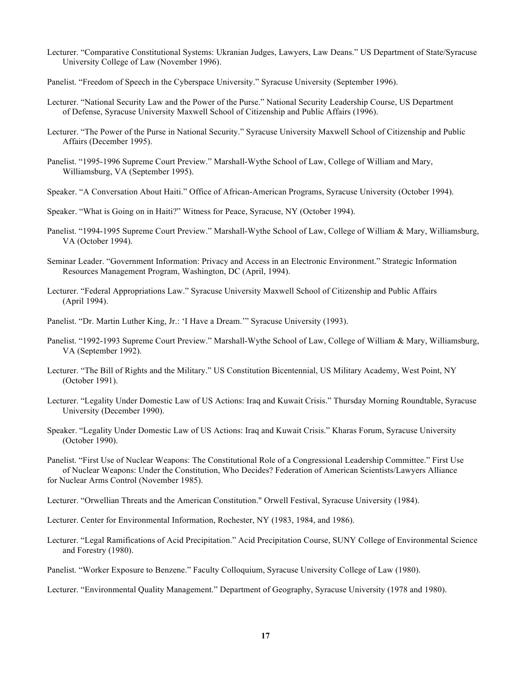- Lecturer. "Comparative Constitutional Systems: Ukranian Judges, Lawyers, Law Deans." US Department of State/Syracuse University College of Law (November 1996).
- Panelist. "Freedom of Speech in the Cyberspace University." Syracuse University (September 1996).
- Lecturer. "National Security Law and the Power of the Purse." National Security Leadership Course, US Department of Defense, Syracuse University Maxwell School of Citizenship and Public Affairs (1996).
- Lecturer. "The Power of the Purse in National Security." Syracuse University Maxwell School of Citizenship and Public Affairs (December 1995).
- Panelist. "1995-1996 Supreme Court Preview." Marshall-Wythe School of Law, College of William and Mary, Williamsburg, VA (September 1995).
- Speaker. "A Conversation About Haiti." Office of African-American Programs, Syracuse University (October 1994).
- Speaker. "What is Going on in Haiti?" Witness for Peace, Syracuse, NY (October 1994).
- Panelist. "1994-1995 Supreme Court Preview." Marshall-Wythe School of Law, College of William & Mary, Williamsburg, VA (October 1994).
- Seminar Leader. "Government Information: Privacy and Access in an Electronic Environment." Strategic Information Resources Management Program, Washington, DC (April, 1994).
- Lecturer. "Federal Appropriations Law." Syracuse University Maxwell School of Citizenship and Public Affairs (April 1994).
- Panelist. "Dr. Martin Luther King, Jr.: 'I Have a Dream.'" Syracuse University (1993).
- Panelist. "1992-1993 Supreme Court Preview." Marshall-Wythe School of Law, College of William & Mary, Williamsburg, VA (September 1992).
- Lecturer. "The Bill of Rights and the Military." US Constitution Bicentennial, US Military Academy, West Point, NY (October 1991).
- Lecturer. "Legality Under Domestic Law of US Actions: Iraq and Kuwait Crisis." Thursday Morning Roundtable, Syracuse University (December 1990).
- Speaker. "Legality Under Domestic Law of US Actions: Iraq and Kuwait Crisis." Kharas Forum, Syracuse University (October 1990).

 Panelist. "First Use of Nuclear Weapons: The Constitutional Role of a Congressional Leadership Committee." First Use of Nuclear Weapons: Under the Constitution, Who Decides? Federation of American Scientists/Lawyers Alliance for Nuclear Arms Control (November 1985).

- Lecturer. "Orwellian Threats and the American Constitution." Orwell Festival, Syracuse University (1984).
- Lecturer. Center for Environmental Information, Rochester, NY (1983, 1984, and 1986).
- Lecturer. "Legal Ramifications of Acid Precipitation." Acid Precipitation Course, SUNY College of Environmental Science and Forestry (1980).
- Panelist. "Worker Exposure to Benzene." Faculty Colloquium, Syracuse University College of Law (1980).
- Lecturer. "Environmental Quality Management." Department of Geography, Syracuse University (1978 and 1980).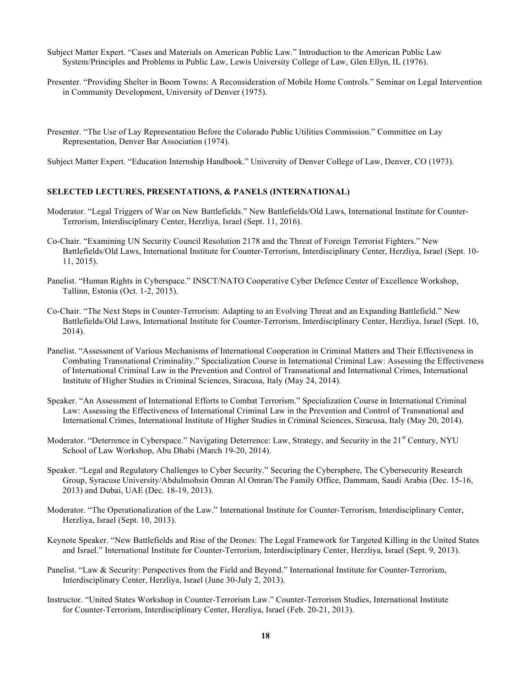- Subject Matter Expert. "Cases and Materials on American Public Law." Introduction to the American Public Law System/Principles and Problems in Public Law, Lewis University College of Law, Glen Ellyn, IL (1976).
- Presenter. "Providing Shelter in Boom Towns: A Reconsideration of Mobile Home Controls." Seminar on Legal Intervention in Community Development, University of Denver (1975).
- Presenter. "The Use of Lay Representation Before the Colorado Public Utilities Commission." Committee on Lay Representation, Denver Bar Association (1974).

Subject Matter Expert. "Education Internship Handbook." University of Denver College of Law, Denver, CO (1973).

# **SELECTED LECTURES, PRESENTATIONS, & PANELS (INTERNATIONAL)**

- Moderator. "Legal Triggers of War on New Battlefields." New Battlefields/Old Laws, International Institute for Counter-Terrorism, Interdisciplinary Center, Herzliya, Israel (Sept. 11, 2016).
- Co-Chair. "Examining UN Security Council Resolution 2178 and the Threat of Foreign Terrorist Fighters." New Battlefields/Old Laws, International Institute for Counter-Terrorism, Interdisciplinary Center, Herzliya, Israel (Sept. 10- 11, 2015).
- Panelist. "Human Rights in Cyberspace." INSCT/NATO Cooperative Cyber Defence Center of Excellence Workshop, Tallinn, Estonia (Oct. 1-2, 2015).
- Co-Chair. "The Next Steps in Counter-Terrorism: Adapting to an Evolving Threat and an Expanding Battlefield." New Battlefields/Old Laws, International Institute for Counter-Terrorism, Interdisciplinary Center, Herzliya, Israel (Sept. 10, 2014).
- Panelist. "Assessment of Various Mechanisms of International Cooperation in Criminal Matters and Their Effectiveness in Combating Transnational Criminality." Specialization Course in International Criminal Law: Assessing the Effectiveness of International Criminal Law in the Prevention and Control of Transnational and International Crimes, International Institute of Higher Studies in Criminal Sciences, Siracusa, Italy (May 24, 2014).
- Speaker. "An Assessment of International Efforts to Combat Terrorism." Specialization Course in International Criminal Law: Assessing the Effectiveness of International Criminal Law in the Prevention and Control of Transnational and International Crimes, International Institute of Higher Studies in Criminal Sciences, Siracusa, Italy (May 20, 2014).
- Moderator. "Deterrence in Cyberspace." Navigating Deterrence: Law, Strategy, and Security in the 21<sup>st</sup> Century, NYU School of Law Workshop, Abu Dhabi (March 19-20, 2014).
- Speaker. "Legal and Regulatory Challenges to Cyber Security." Securing the Cybersphere, The Cybersecurity Research Group, Syracuse University/Abdulmohsin Omran Al Omran/The Family Office, Dammam, Saudi Arabia (Dec. 15-16, 2013) and Dubai, UAE (Dec. 18-19, 2013).
- Moderator. "The Operationalization of the Law." International Institute for Counter-Terrorism, Interdisciplinary Center, Herzliya, Israel (Sept. 10, 2013).
- Keynote Speaker. "New Battlefields and Rise of the Drones: The Legal Framework for Targeted Killing in the United States and Israel." International Institute for Counter-Terrorism, Interdisciplinary Center, Herzliya, Israel (Sept. 9, 2013).
- Panelist. "Law & Security: Perspectives from the Field and Beyond." International Institute for Counter-Terrorism, Interdisciplinary Center, Herzliya, Israel (June 30-July 2, 2013).
- Instructor. "United States Workshop in Counter-Terrorism Law." Counter-Terrorism Studies, International Institute for Counter-Terrorism, Interdisciplinary Center, Herzliya, Israel (Feb. 20-21, 2013).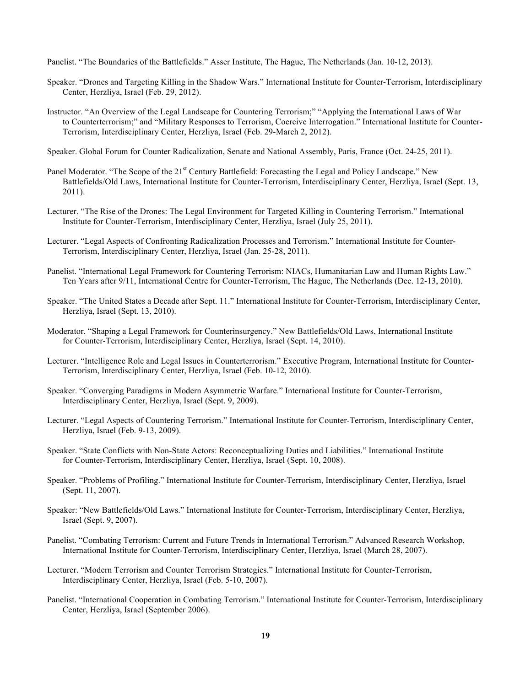Panelist. "The Boundaries of the Battlefields." Asser Institute, The Hague, The Netherlands (Jan. 10-12, 2013).

- Speaker. "Drones and Targeting Killing in the Shadow Wars." International Institute for Counter-Terrorism, Interdisciplinary Center, Herzliya, Israel (Feb. 29, 2012).
- Instructor. "An Overview of the Legal Landscape for Countering Terrorism;" "Applying the International Laws of War to Counterterrorism;" and "Military Responses to Terrorism, Coercive Interrogation." International Institute for Counter-Terrorism, Interdisciplinary Center, Herzliya, Israel (Feb. 29-March 2, 2012).

Speaker. Global Forum for Counter Radicalization, Senate and National Assembly, Paris, France (Oct. 24-25, 2011).

- Panel Moderator. "The Scope of the 21<sup>st</sup> Century Battlefield: Forecasting the Legal and Policy Landscape." New Battlefields/Old Laws, International Institute for Counter-Terrorism, Interdisciplinary Center, Herzliya, Israel (Sept. 13, 2011).
- Lecturer. "The Rise of the Drones: The Legal Environment for Targeted Killing in Countering Terrorism." International Institute for Counter-Terrorism, Interdisciplinary Center, Herzliya, Israel (July 25, 2011).
- Lecturer. "Legal Aspects of Confronting Radicalization Processes and Terrorism." International Institute for Counter-Terrorism, Interdisciplinary Center, Herzliya, Israel (Jan. 25-28, 2011).
- Panelist. "International Legal Framework for Countering Terrorism: NIACs, Humanitarian Law and Human Rights Law." Ten Years after 9/11, International Centre for Counter-Terrorism, The Hague, The Netherlands (Dec. 12-13, 2010).
- Speaker. "The United States a Decade after Sept. 11." International Institute for Counter-Terrorism, Interdisciplinary Center, Herzliya, Israel (Sept. 13, 2010).
- Moderator. "Shaping a Legal Framework for Counterinsurgency." New Battlefields/Old Laws, International Institute for Counter-Terrorism, Interdisciplinary Center, Herzliya, Israel (Sept. 14, 2010).
- Lecturer. "Intelligence Role and Legal Issues in Counterterrorism." Executive Program, International Institute for Counter-Terrorism, Interdisciplinary Center, Herzliya, Israel (Feb. 10-12, 2010).
- Speaker. "Converging Paradigms in Modern Asymmetric Warfare." International Institute for Counter-Terrorism, Interdisciplinary Center, Herzliya, Israel (Sept. 9, 2009).
- Lecturer. "Legal Aspects of Countering Terrorism." International Institute for Counter-Terrorism, Interdisciplinary Center, Herzliya, Israel (Feb. 9-13, 2009).
- Speaker. "State Conflicts with Non-State Actors: Reconceptualizing Duties and Liabilities." International Institute for Counter-Terrorism, Interdisciplinary Center, Herzliya, Israel (Sept. 10, 2008).
- Speaker. "Problems of Profiling." International Institute for Counter-Terrorism, Interdisciplinary Center, Herzliya, Israel (Sept. 11, 2007).
- Speaker: "New Battlefields/Old Laws." International Institute for Counter-Terrorism, Interdisciplinary Center, Herzliya, Israel (Sept. 9, 2007).
- Panelist. "Combating Terrorism: Current and Future Trends in International Terrorism." Advanced Research Workshop, International Institute for Counter-Terrorism, Interdisciplinary Center, Herzliya, Israel (March 28, 2007).
- Lecturer. "Modern Terrorism and Counter Terrorism Strategies." International Institute for Counter-Terrorism, Interdisciplinary Center, Herzliya, Israel (Feb. 5-10, 2007).
- Panelist. "International Cooperation in Combating Terrorism." International Institute for Counter-Terrorism, Interdisciplinary Center, Herzliya, Israel (September 2006).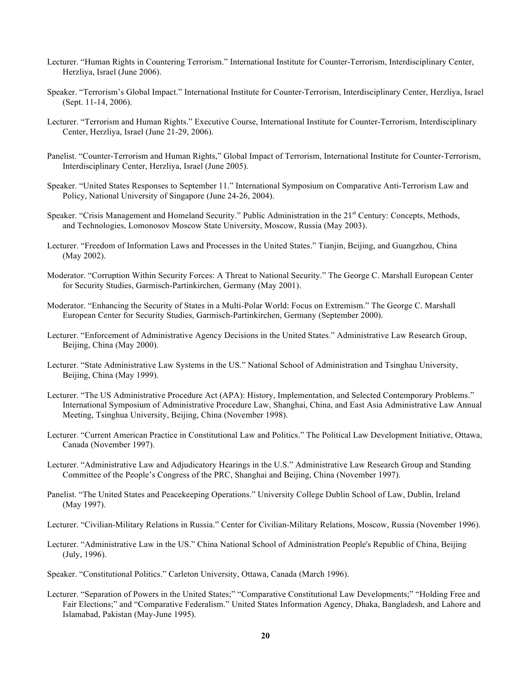- Lecturer. "Human Rights in Countering Terrorism." International Institute for Counter-Terrorism, Interdisciplinary Center, Herzliya, Israel (June 2006).
- Speaker. "Terrorism's Global Impact." International Institute for Counter-Terrorism, Interdisciplinary Center, Herzliya, Israel (Sept. 11-14, 2006).
- Lecturer. "Terrorism and Human Rights." Executive Course, International Institute for Counter-Terrorism, Interdisciplinary Center, Herzliya, Israel (June 21-29, 2006).
- Panelist. "Counter-Terrorism and Human Rights," Global Impact of Terrorism, International Institute for Counter-Terrorism, Interdisciplinary Center, Herzliya, Israel (June 2005).
- Speaker. "United States Responses to September 11." International Symposium on Comparative Anti-Terrorism Law and Policy, National University of Singapore (June 24-26, 2004).
- Speaker. "Crisis Management and Homeland Security." Public Administration in the 21<sup>st</sup> Century: Concepts, Methods, and Technologies, Lomonosov Moscow State University, Moscow, Russia (May 2003).
- Lecturer. "Freedom of Information Laws and Processes in the United States." Tianjin, Beijing, and Guangzhou, China (May 2002).
- Moderator. "Corruption Within Security Forces: A Threat to National Security." The George C. Marshall European Center for Security Studies, Garmisch-Partinkirchen, Germany (May 2001).
- Moderator. "Enhancing the Security of States in a Multi-Polar World: Focus on Extremism." The George C. Marshall European Center for Security Studies, Garmisch-Partinkirchen, Germany (September 2000).
- Lecturer. "Enforcement of Administrative Agency Decisions in the United States." Administrative Law Research Group, Beijing, China (May 2000).
- Lecturer. "State Administrative Law Systems in the US." National School of Administration and Tsinghau University, Beijing, China (May 1999).
- Lecturer. "The US Administrative Procedure Act (APA): History, Implementation, and Selected Contemporary Problems." International Symposium of Administrative Procedure Law, Shanghai, China, and East Asia Administrative Law Annual Meeting, Tsinghua University, Beijing, China (November 1998).
- Lecturer. "Current American Practice in Constitutional Law and Politics." The Political Law Development Initiative, Ottawa, Canada (November 1997).
- Lecturer. "Administrative Law and Adjudicatory Hearings in the U.S." Administrative Law Research Group and Standing Committee of the People's Congress of the PRC, Shanghai and Beijing, China (November 1997).
- Panelist. "The United States and Peacekeeping Operations." University College Dublin School of Law, Dublin, Ireland (May 1997).
- Lecturer. "Civilian-Military Relations in Russia." Center for Civilian-Military Relations, Moscow, Russia (November 1996).
- Lecturer. "Administrative Law in the US." China National School of Administration People's Republic of China, Beijing (July, 1996).
- Speaker. "Constitutional Politics." Carleton University, Ottawa, Canada (March 1996).
- Lecturer. "Separation of Powers in the United States;" "Comparative Constitutional Law Developments;" "Holding Free and Fair Elections;" and "Comparative Federalism." United States Information Agency, Dhaka, Bangladesh, and Lahore and Islamabad, Pakistan (May-June 1995).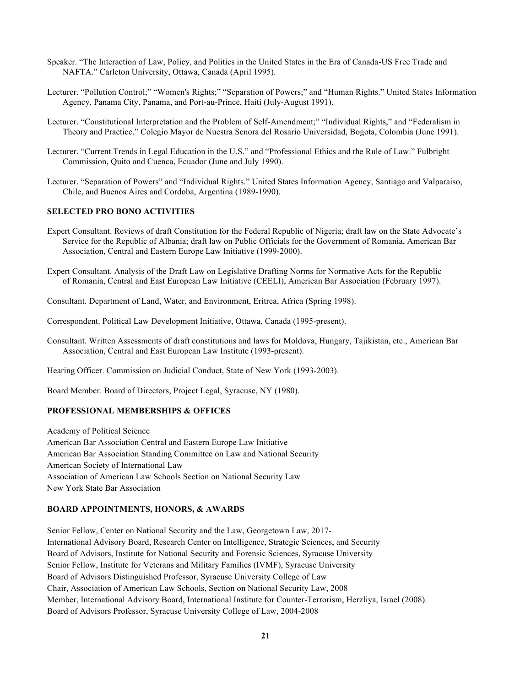- Speaker. "The Interaction of Law, Policy, and Politics in the United States in the Era of Canada-US Free Trade and NAFTA." Carleton University, Ottawa, Canada (April 1995).
- Lecturer. "Pollution Control;" "Women's Rights;" "Separation of Powers;" and "Human Rights." United States Information Agency, Panama City, Panama, and Port-au-Prince, Haiti (July-August 1991).
- Lecturer. "Constitutional Interpretation and the Problem of Self-Amendment;" "Individual Rights," and "Federalism in Theory and Practice." Colegio Mayor de Nuestra Senora del Rosario Universidad, Bogota, Colombia (June 1991).
- Lecturer. "Current Trends in Legal Education in the U.S." and "Professional Ethics and the Rule of Law." Fulbright Commission, Quito and Cuenca, Ecuador (June and July 1990).
- Lecturer. "Separation of Powers" and "Individual Rights." United States Information Agency, Santiago and Valparaiso, Chile, and Buenos Aires and Cordoba, Argentina (1989-1990).

## **SELECTED PRO BONO ACTIVITIES**

- Expert Consultant. Reviews of draft Constitution for the Federal Republic of Nigeria; draft law on the State Advocate's Service for the Republic of Albania; draft law on Public Officials for the Government of Romania, American Bar Association, Central and Eastern Europe Law Initiative (1999-2000).
- Expert Consultant. Analysis of the Draft Law on Legislative Drafting Norms for Normative Acts for the Republic of Romania, Central and East European Law Initiative (CEELI), American Bar Association (February 1997).

Consultant. Department of Land, Water, and Environment, Eritrea, Africa (Spring 1998).

- Correspondent. Political Law Development Initiative, Ottawa, Canada (1995-present).
- Consultant. Written Assessments of draft constitutions and laws for Moldova, Hungary, Tajikistan, etc., American Bar Association, Central and East European Law Institute (1993-present).

Hearing Officer. Commission on Judicial Conduct, State of New York (1993-2003).

Board Member. Board of Directors, Project Legal, Syracuse, NY (1980).

#### **PROFESSIONAL MEMBERSHIPS & OFFICES**

 Academy of Political Science American Bar Association Central and Eastern Europe Law Initiative American Bar Association Standing Committee on Law and National Security American Society of International Law Association of American Law Schools Section on National Security Law New York State Bar Association

### **BOARD APPOINTMENTS, HONORS, & AWARDS**

 Senior Fellow, Center on National Security and the Law, Georgetown Law, 2017- International Advisory Board, Research Center on Intelligence, Strategic Sciences, and Security Board of Advisors, Institute for National Security and Forensic Sciences, Syracuse University Senior Fellow, Institute for Veterans and Military Families (IVMF), Syracuse University Board of Advisors Distinguished Professor, Syracuse University College of Law Chair, Association of American Law Schools, Section on National Security Law, 2008 Member, International Advisory Board, International Institute for Counter-Terrorism, Herzliya, Israel (2008). Board of Advisors Professor, Syracuse University College of Law, 2004-2008